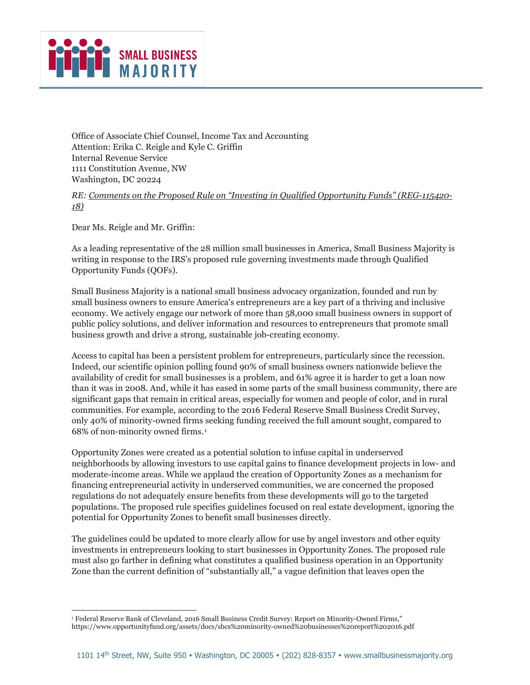## SMALL BUSINESS

Office of Associate Chief Counsel, Income Tax and Accounting Attention: Erika C. Reigle and Kyle C. Griffin Internal Revenue Service 1111 Constitution Avenue, NW Washington, DC 20224

*RE: Comments on the Proposed Rule on "Investing in Qualified Opportunity Funds" (REG-115420- 18)*

Dear Ms. Reigle and Mr. Griffin:

As a leading representative of the 28 million small businesses in America, Small Business Majority is writing in response to the IRS's proposed rule governing investments made through Qualified Opportunity Funds (QOFs).

Small Business Majority is a national small business advocacy organization, founded and run by small business owners to ensure America's entrepreneurs are a key part of a thriving and inclusive economy. We actively engage our network of more than 58,000 small business owners in support of public policy solutions, and deliver information and resources to entrepreneurs that promote small business growth and drive a strong, sustainable job-creating economy.

Access to capital has been a persistent problem for entrepreneurs, particularly since the recession. Indeed, our scientific opinion polling found 90% of small business owners nationwide believe the availability of credit for small businesses is a problem, and 61% agree it is harder to get a loan now than it was in 2008. And, while it has eased in some parts of the small business community, there are significant gaps that remain in critical areas, especially for women and people of color, and in rural communities. For example, according to the 2016 Federal Reserve Small Business Credit Survey, only 40% of minority-owned firms seeking funding received the full amount sought, compared to 68% of non-minority owned firms.[1](#page-0-0)

Opportunity Zones were created as a potential solution to infuse capital in underserved neighborhoods by allowing investors to use capital gains to finance development projects in low- and moderate-income areas. While we applaud the creation of Opportunity Zones as a mechanism for financing entrepreneurial activity in underserved communities, we are concerned the proposed regulations do not adequately ensure benefits from these developments will go to the targeted populations. The proposed rule specifies guidelines focused on real estate development, ignoring the potential for Opportunity Zones to benefit small businesses directly.

The guidelines could be updated to more clearly allow for use by angel investors and other equity investments in entrepreneurs looking to start businesses in Opportunity Zones. The proposed rule must also go farther in defining what constitutes a qualified business operation in an Opportunity Zone than the current definition of "substantially all," a vague definition that leaves open the

<span id="page-0-0"></span>i, <sup>1</sup> Federal Reserve Bank of Cleveland, 2016 Small Business Credit Survey: Report on Minority-Owned Firms," https://www.opportunityfund.org/assets/docs/sbcs%20minority-owned%20businesses%20report%202016.pdf